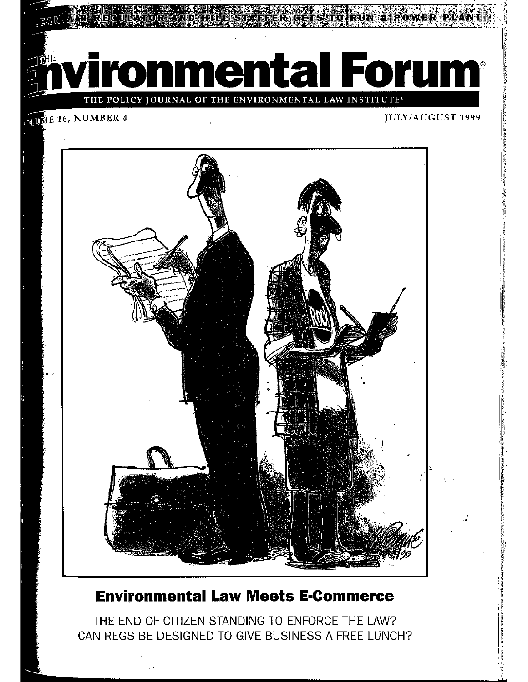RIGETS TO RUN A POWER

ronmental Forum<sup>®</sup>

POLICY JOURNAL OF THE ENVIRONMENTAL LAW INSTITUTE®

### **JUME 16, NUMBER 4**

#### **JULY/AUGUST 1999**



## **Environmental Law Meets E-Commerce**

THE END OF CITIZEN STANDING TO ENFORCE THE LAW? CAN REGS BE DESIGNED TO GIVE BUSINESS A FREE LUNCH?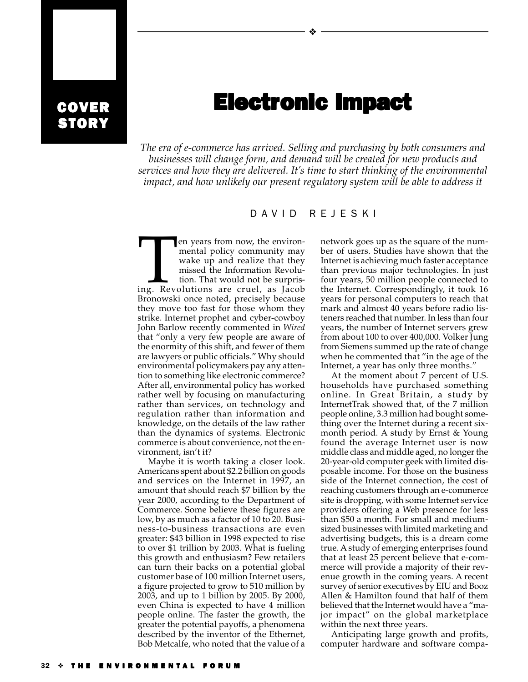## COVER **STORY**

# **Electronic Impact**

❖

*The era of e-commerce has arrived. Selling and purchasing by both consumers and businesses will change form, and demand will be created for new products and services and how they are delivered. It's time to start thinking of the environmental impact, and how unlikely our present regulatory system will be able to address it*

#### DAVID REJESKI

Fen years from now, the environ-<br>
mental policy community may<br>
wake up and realize that they<br>
missed the Information Revolu-<br>
tion. That would not be surpris-<br>
ing. Revolutions are cruel, as Jacob mental policy community may wake up and realize that they missed the Information Revolution. That would not be surpris-Bronowski once noted, precisely because they move too fast for those whom they strike. Internet prophet and cyber-cowboy John Barlow recently commented in *Wired* that "only a very few people are aware of the enormity of this shift, and fewer of them are lawyers or public officials." Why should environmental policymakers pay any attention to something like electronic commerce? After all, environmental policy has worked rather well by focusing on manufacturing rather than services, on technology and regulation rather than information and knowledge, on the details of the law rather than the dynamics of systems. Electronic commerce is about convenience, not the environment, isn't it?

Maybe it is worth taking a closer look. Americans spent about \$2.2 billion on goods and services on the Internet in 1997, an amount that should reach \$7 billion by the year 2000, according to the Department of Commerce. Some believe these figures are low, by as much as a factor of 10 to 20. Business-to-business transactions are even greater: \$43 billion in 1998 expected to rise to over \$1 trillion by 2003. What is fueling this growth and enthusiasm? Few retailers can turn their backs on a potential global customer base of 100 million Internet users, a figure projected to grow to 510 million by 2003, and up to 1 billion by 2005. By 2000, even China is expected to have 4 million people online. The faster the growth, the greater the potential payoffs, a phenomena described by the inventor of the Ethernet, Bob Metcalfe, who noted that the value of a

network goes up as the square of the number of users. Studies have shown that the Internet is achieving much faster acceptance than previous major technologies. In just four years, 50 million people connected to the Internet. Correspondingly, it took 16 years for personal computers to reach that mark and almost 40 years before radio listeners reached that number. In less than four years, the number of Internet servers grew from about 100 to over 400,000. Volker Jung from Siemens summed up the rate of change when he commented that "in the age of the Internet, a year has only three months."

At the moment about 7 percent of U.S. households have purchased something online. In Great Britain, a study by InternetTrak showed that, of the 7 million people online, 3.3 million had bought something over the Internet during a recent sixmonth period. A study by Ernst & Young found the average Internet user is now middle class and middle aged, no longer the 20-year-old computer geek with limited disposable income. For those on the business side of the Internet connection, the cost of reaching customers through an e-commerce site is dropping, with some Internet service providers offering a Web presence for less than \$50 a month. For small and mediumsized businesses with limited marketing and advertising budgets, this is a dream come true. A study of emerging enterprises found that at least 25 percent believe that e-commerce will provide a majority of their revenue growth in the coming years. A recent survey of senior executives by EIU and Booz Allen & Hamilton found that half of them believed that the Internet would have a "major impact" on the global marketplace within the next three years.

Anticipating large growth and profits, computer hardware and software compa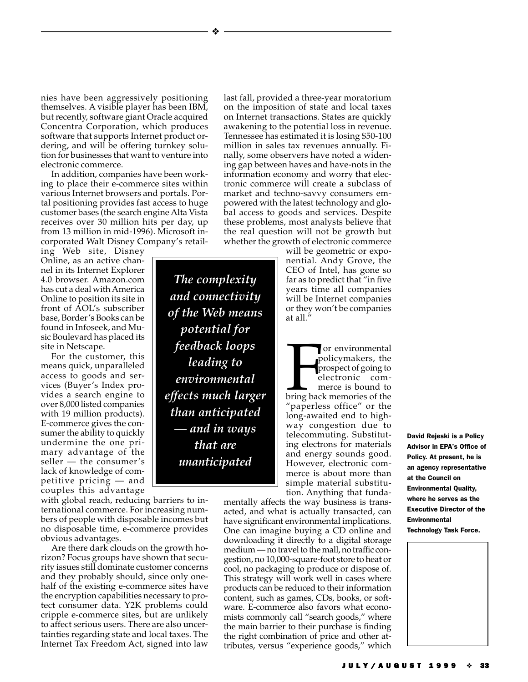nies have been aggressively positioning themselves. A visible player has been IBM, but recently, software giant Oracle acquired Concentra Corporation, which produces software that supports Internet product ordering, and will be offering turnkey solution for businesses that want to venture into electronic commerce.

In addition, companies have been working to place their e-commerce sites within various Internet browsers and portals. Portal positioning provides fast access to huge customer bases (the search engine Alta Vista receives over 30 million hits per day, up from 13 million in mid-1996). Microsoft incorporated Walt Disney Company's retail-

ing Web site, Disney Online, as an active channel in its Internet Explorer 4.0 browser. Amazon.com has cut a deal with America Online to position its site in front of AOL's subscriber base, Border's Books can be found in Infoseek, and Music Boulevard has placed its site in Netscape.

For the customer, this means quick, unparalleled access to goods and services (Buyer's Index provides a search engine to over 8,000 listed companies with 19 million products). E-commerce gives the consumer the ability to quickly undermine the one primary advantage of the seller — the consumer's lack of knowledge of competitive pricing — and couples this advantage

with global reach, reducing barriers to international commerce. For increasing numbers of people with disposable incomes but no disposable time, e-commerce provides obvious advantages.

Are there dark clouds on the growth horizon? Focus groups have shown that security issues still dominate customer concerns and they probably should, since only onehalf of the existing e-commerce sites have the encryption capabilities necessary to protect consumer data. Y2K problems could cripple e-commerce sites, but are unlikely to affect serious users. There are also uncertainties regarding state and local taxes. The Internet Tax Freedom Act, signed into law

*The complexity and connectivity of the Web means potential for feedback loops leading to environmental effects much larger than anticipated — and in ways that are unanticipated*

❖

last fall, provided a three-year moratorium on the imposition of state and local taxes on Internet transactions. States are quickly awakening to the potential loss in revenue. Tennessee has estimated it is losing \$50-100 million in sales tax revenues annually. Finally, some observers have noted a widening gap between haves and have-nots in the information economy and worry that electronic commerce will create a subclass of market and techno-savvy consumers empowered with the latest technology and global access to goods and services. Despite these problems, most analysts believe that the real question will not be growth but whether the growth of electronic commerce

> will be geometric or exponential. Andy Grove, the CEO of Intel, has gone so far as to predict that "in five years time all companies will be Internet companies or they won't be companies at all."

> For environmental<br>policymakers, the<br>prospect of going to<br>electronic com-<br>merce is bound to<br>bring back memories of the or environmental policymakers, the prospect of going to electronic commerce is bound to "paperless office" or the long-awaited end to highway congestion due to telecommuting. Substituting electrons for materials and energy sounds good. However, electronic commerce is about more than simple material substitution. Anything that funda-

mentally affects the way business is transacted, and what is actually transacted, can have significant environmental implications. One can imagine buying a CD online and downloading it directly to a digital storage medium — no travel to the mall, no traffic congestion, no 10,000-square-foot store to heat or cool, no packaging to produce or dispose of. This strategy will work well in cases where products can be reduced to their information content, such as games, CDs, books, or software. E-commerce also favors what economists commonly call "search goods," where the main barrier to their purchase is finding the right combination of price and other attributes, versus "experience goods," which

David Rejeski is a Policy Advisor in EPA's Office of Policy. At present, he is an agency representative at the Council on Environmental Quality, where he serves as the Executive Director of the Environmental Technology Task Force.

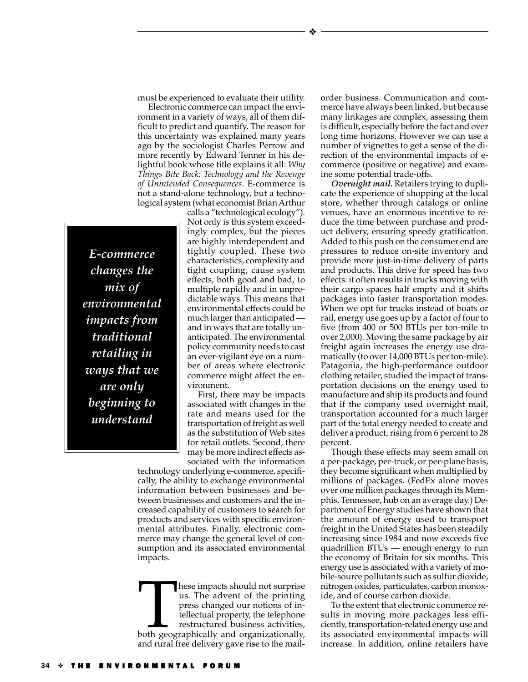Electronic commerce can impact the environment in a variety of ways, all of them difficult to predict and quantify. The reason for this uncertainty was explained many years ago by the sociologist Charles Perrow and more recently by Edward Tenner in his delightful book whose title explains it all: *Why Things Bite Back: Technology and the Revenge of Unintended Consequences*. E-commerce is not a stand-alone technology, but a technological system (what economist Brian Arthur

*E-commerce changes the mix of environmental impacts from traditional retailing in ways that we are only beginning to understand*

calls a "technological ecology"). Not only is this system exceedingly complex, but the pieces are highly interdependent and tightly coupled. These two characteristics, complexity and tight coupling, cause system effects, both good and bad, to multiple rapidly and in unpredictable ways. This means that environmental effects could be much larger than anticipated and in ways that are totally unanticipated. The environmental policy community needs to cast an ever-vigilant eye on a number of areas where electronic commerce might affect the environment.

First, there may be impacts associated with changes in the rate and means used for the transportation of freight as well as the substitution of Web sites for retail outlets. Second, there may be more indirect effects associated with the information

technology underlying e-commerce, specifically, the ability to exchange environmental information between businesses and between businesses and customers and the increased capability of customers to search for products and services with specific environmental attributes. Finally, electronic commerce may change the general level of consumption and its associated environmental impacts.

These impacts should not surprise<br>
us. The advent of the printing<br>
press changed our notions of in-<br>
tellectual property, the telephone<br>
restructured business activities,<br>
both geographically and organizationally, us. The advent of the printing press changed our notions of intellectual property, the telephone restructured business activities, and rural free delivery gave rise to the mailorder business. Communication and commerce have always been linked, but because many linkages are complex, assessing them is difficult, especially before the fact and over long time horizons. However we can use a number of vignettes to get a sense of the direction of the environmental impacts of ecommerce (positive or negative) and examine some potential trade-offs.

*Overnight mail***.** Retailers trying to duplicate the experience of shopping at the local store, whether through catalogs or online venues, have an enormous incentive to reduce the time between purchase and product delivery, ensuring speedy gratification. Added to this push on the consumer end are pressures to reduce on-site inventory and provide more just-in-time delivery of parts and products. This drive for speed has two effects: it often results in trucks moving with their cargo spaces half empty and it shifts packages into faster transportation modes. When we opt for trucks instead of boats or rail, energy use goes up by a factor of four to five (from 400 or 500 BTUs per ton-mile to over 2,000). Moving the same package by air freight again increases the energy use dramatically (to over 14,000 BTUs per ton-mile). Patagonia, the high-performance outdoor clothing retailer, studied the impact of transportation decisions on the energy used to manufacture and ship its products and found that if the company used overnight mail, transportation accounted for a much larger part of the total energy needed to create and deliver a product, rising from 6 percent to 28 percent.

Though these effects may seem small on a per-package, per-truck, or per-plane basis, they become significant when multiplied by millions of packages. (FedEx alone moves over one million packages through its Memphis, Tennessee, hub on an average day.) Department of Energy studies have shown that the amount of energy used to transport freight in the United States has been steadily increasing since 1984 and now exceeds five quadrillion BTUs — enough energy to run the economy of Britain for six months. This energy use is associated with a variety of mobile-source pollutants such as sulfur dioxide, nitrogen oxides, particulates, carbon monoxide, and of course carbon dioxide.

To the extent that electronic commerce results in moving more packages less efficiently, transportation-related energy use and its associated environmental impacts will increase. In addition, online retailers have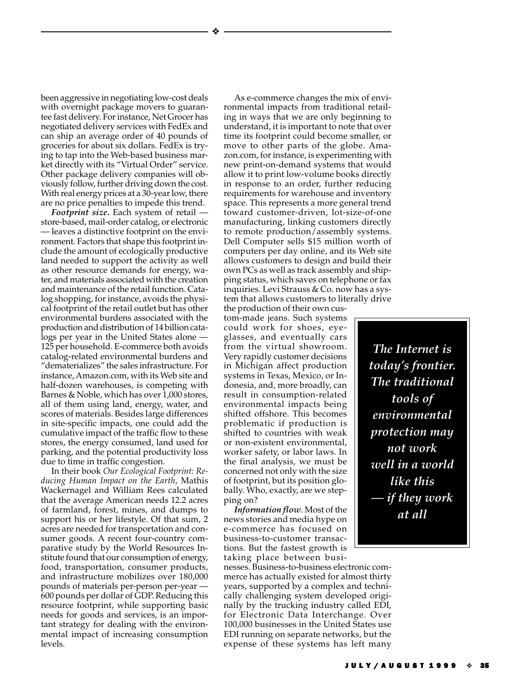been aggressive in negotiating low-cost deals with overnight package movers to guarantee fast delivery. For instance, Net Grocer has negotiated delivery services with FedEx and can ship an average order of 40 pounds of groceries for about six dollars. FedEx is trying to tap into the Web-based business market directly with its "Virtual Order" service. Other package delivery companies will obviously follow, further driving down the cost. With real energy prices at a 30-year low, there are no price penalties to impede this trend.

❖

*Footprint size***.** Each system of retail store-based, mail-order catalog, or electronic — leaves a distinctive footprint on the environment. Factors that shape this footprint include the amount of ecologically productive land needed to support the activity as well as other resource demands for energy, water, and materials associated with the creation and maintenance of the retail function. Catalog shopping, for instance, avoids the physical footprint of the retail outlet but has other environmental burdens associated with the production and distribution of 14 billion catalogs per year in the United States alone — 125 per household. E-commerce both avoids catalog-related environmental burdens and "dematerializes" the sales infrastructure. For instance, Amazon.com, with its Web site and half-dozen warehouses, is competing with Barnes & Noble, which has over 1,000 stores, all of them using land, energy, water, and scores of materials. Besides large differences in site-specific impacts, one could add the cumulative impact of the traffic flow to these stores, the energy consumed, land used for parking, and the potential productivity loss due to time in traffic congestion.

In their book *Our Ecological Footprint: Reducing Human Impact on the Earth*, Mathis Wackernagel and William Rees calculated that the average American needs 12.2 acres of farmland, forest, mines, and dumps to support his or her lifestyle. Of that sum, 2 acres are needed for transportation and consumer goods. A recent four-country comparative study by the World Resources Institute found that our consumption of energy, food, transportation, consumer products, and infrastructure mobilizes over 180,000 pounds of materials per-person per-year — 600 pounds per dollar of GDP. Reducing this resource footprint, while supporting basic needs for goods and services, is an important strategy for dealing with the environmental impact of increasing consumption levels.

As e-commerce changes the mix of environmental impacts from traditional retailing in ways that we are only beginning to understand, it is important to note that over time its footprint could become smaller, or move to other parts of the globe. Amazon.com, for instance, is experimenting with new print-on-demand systems that would allow it to print low-volume books directly in response to an order, further reducing requirements for warehouse and inventory space. This represents a more general trend toward customer-driven, lot-size-of-one manufacturing, linking customers directly to remote production/assembly systems. Dell Computer sells \$15 million worth of computers per day online, and its Web site allows customers to design and build their own PCs as well as track assembly and shipping status, which saves on telephone or fax inquiries. Levi Strauss & Co. now has a system that allows customers to literally drive

the production of their own custom-made jeans. Such systems could work for shoes, eyeglasses, and eventually cars from the virtual showroom. Very rapidly customer decisions in Michigan affect production systems in Texas, Mexico, or Indonesia, and, more broadly, can result in consumption-related environmental impacts being shifted offshore. This becomes problematic if production is shifted to countries with weak or non-existent environmental, worker safety, or labor laws. In the final analysis, we must be concerned not only with the size of footprint, but its position globally. Who, exactly, are we stepping on?

*Information flow*. Most of the news stories and media hype on e-commerce has focused on business-to-customer transactions. But the fastest growth is taking place between busi-

nesses. Business-to-business electronic commerce has actually existed for almost thirty years, supported by a complex and technically challenging system developed originally by the trucking industry called EDI, for Electronic Data Interchange. Over 100,000 businesses in the United States use EDI running on separate networks, but the expense of these systems has left many

*The Internet is today's frontier. The traditional tools of environmental protection may not work well in a world like this if they work at all*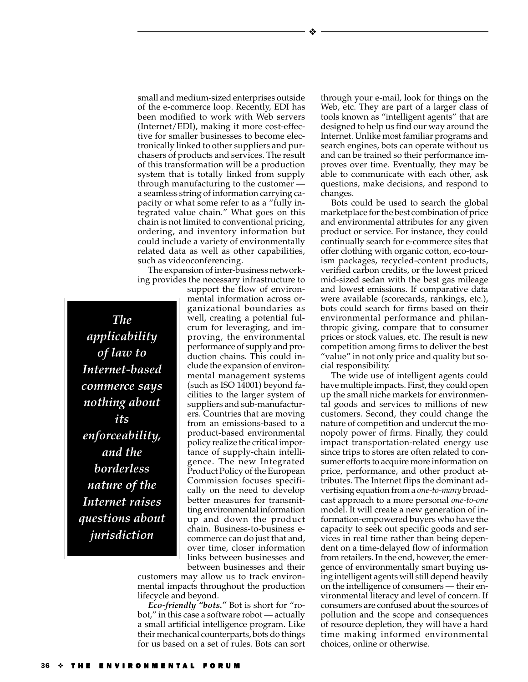small and medium-sized enterprises outside of the e-commerce loop. Recently, EDI has been modified to work with Web servers (Internet/EDI), making it more cost-effective for smaller businesses to become electronically linked to other suppliers and purchasers of products and services. The result of this transformation will be a production system that is totally linked from supply through manufacturing to the customer a seamless string of information carrying capacity or what some refer to as a "fully integrated value chain." What goes on this chain is not limited to conventional pricing, ordering, and inventory information but could include a variety of environmentally related data as well as other capabilities, such as videoconferencing.

The expansion of inter-business networking provides the necessary infrastructure to

*The applicability of law to Internet-based commerce says nothing about its enforceability, and the borderless nature of the Internet raises questions about jurisdiction*

support the flow of environmental information across organizational boundaries as well, creating a potential fulcrum for leveraging, and improving, the environmental performance of supply and production chains. This could include the expansion of environmental management systems (such as ISO 14001) beyond facilities to the larger system of suppliers and sub-manufacturers. Countries that are moving from an emissions-based to a product-based environmental policy realize the critical importance of supply-chain intelligence. The new Integrated Product Policy of the European Commission focuses specifically on the need to develop better measures for transmitting environmental information up and down the product chain. Business-to-business ecommerce can do just that and, over time, closer information links between businesses and between businesses and their

customers may allow us to track environmental impacts throughout the production lifecycle and beyond.

*Eco-friendly "bots."* Bot is short for "robot," in this case a software robot — actually a small artificial intelligence program. Like their mechanical counterparts, bots do things for us based on a set of rules. Bots can sort

through your e-mail, look for things on the Web, etc. They are part of a larger class of tools known as "intelligent agents" that are designed to help us find our way around the Internet. Unlike most familiar programs and search engines, bots can operate without us and can be trained so their performance improves over time. Eventually, they may be able to communicate with each other, ask questions, make decisions, and respond to changes.

Bots could be used to search the global marketplace for the best combination of price and environmental attributes for any given product or service. For instance, they could continually search for e-commerce sites that offer clothing with organic cotton, eco-tourism packages, recycled-content products, verified carbon credits, or the lowest priced mid-sized sedan with the best gas mileage and lowest emissions. If comparative data were available (scorecards, rankings, etc.), bots could search for firms based on their environmental performance and philanthropic giving, compare that to consumer prices or stock values, etc. The result is new competition among firms to deliver the best "value" in not only price and quality but social responsibility.

The wide use of intelligent agents could have multiple impacts. First, they could open up the small niche markets for environmental goods and services to millions of new customers. Second, they could change the nature of competition and undercut the monopoly power of firms. Finally, they could impact transportation-related energy use since trips to stores are often related to consumer efforts to acquire more information on price, performance, and other product attributes. The Internet flips the dominant advertising equation from a *one-to-many* broadcast approach to a more personal *one-to-one* model. It will create a new generation of information-empowered buyers who have the capacity to seek out specific goods and services in real time rather than being dependent on a time-delayed flow of information from retailers. In the end, however, the emergence of environmentally smart buying using intelligent agents will still depend heavily on the intelligence of consumers — their environmental literacy and level of concern. If consumers are confused about the sources of pollution and the scope and consequences of resource depletion, they will have a hard time making informed environmental choices, online or otherwise.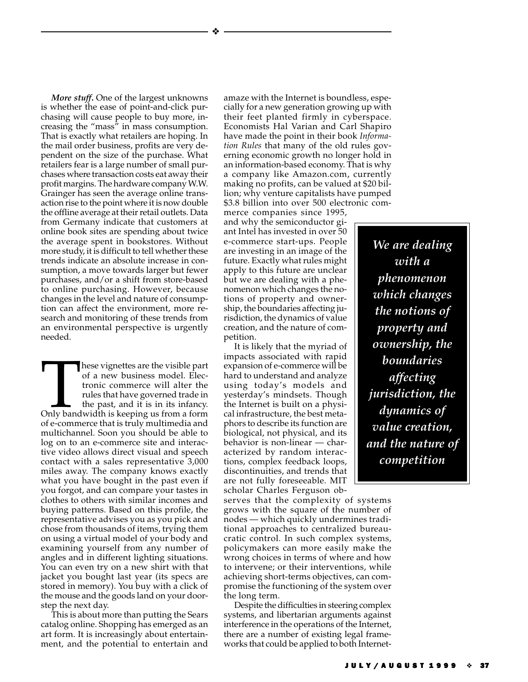❖

*More stuff***.** One of the largest unknowns is whether the ease of point-and-click purchasing will cause people to buy more, increasing the "mass" in mass consumption. That is exactly what retailers are hoping. In the mail order business, profits are very dependent on the size of the purchase. What retailers fear is a large number of small purchases where transaction costs eat away their profit margins. The hardware company W.W. Grainger has seen the average online transaction rise to the point where it is now double the offline average at their retail outlets. Data from Germany indicate that customers at online book sites are spending about twice the average spent in bookstores. Without more study, it is difficult to tell whether these trends indicate an absolute increase in consumption, a move towards larger but fewer purchases, and/or a shift from store-based to online purchasing. However, because changes in the level and nature of consumption can affect the environment, more research and monitoring of these trends from an environmental perspective is urgently needed.

These vignettes are the visible part<br>
of a new business model. Elec-<br>
tronic commerce will alter the<br>
rules that have governed trade in<br>
the past, and it is in its infancy.<br>
Only bandwidth is keeping us from a form of a new business model. Electronic commerce will alter the rules that have governed trade in the past, and it is in its infancy. of e-commerce that is truly multimedia and multichannel. Soon you should be able to log on to an e-commerce site and interactive video allows direct visual and speech contact with a sales representative 3,000 miles away. The company knows exactly what you have bought in the past even if you forgot, and can compare your tastes in clothes to others with similar incomes and buying patterns. Based on this profile, the representative advises you as you pick and chose from thousands of items, trying them on using a virtual model of your body and examining yourself from any number of angles and in different lighting situations. You can even try on a new shirt with that jacket you bought last year (its specs are stored in memory). You buy with a click of the mouse and the goods land on your doorstep the next day.

This is about more than putting the Sears catalog online. Shopping has emerged as an art form. It is increasingly about entertainment, and the potential to entertain and amaze with the Internet is boundless, especially for a new generation growing up with their feet planted firmly in cyberspace. Economists Hal Varian and Carl Shapiro have made the point in their book *Information Rules* that many of the old rules governing economic growth no longer hold in an information-based economy. That is why a company like Amazon.com, currently making no profits, can be valued at \$20 billion; why venture capitalists have pumped \$3.8 billion into over 500 electronic com-

merce companies since 1995, and why the semiconductor giant Intel has invested in over 50 e-commerce start-ups. People are investing in an image of the future. Exactly what rules might apply to this future are unclear but we are dealing with a phenomenon which changes the notions of property and ownership, the boundaries affecting jurisdiction, the dynamics of value creation, and the nature of competition.

It is likely that the myriad of impacts associated with rapid expansion of e-commerce will be hard to understand and analyze using today's models and yesterday's mindsets. Though the Internet is built on a physical infrastructure, the best metaphors to describe its function are biological, not physical, and its behavior is non-linear — characterized by random interactions, complex feedback loops, discontinuities, and trends that are not fully foreseeable. MIT scholar Charles Ferguson ob-

serves that the complexity of systems grows with the square of the number of nodes — which quickly undermines traditional approaches to centralized bureaucratic control. In such complex systems, policymakers can more easily make the wrong choices in terms of where and how to intervene; or their interventions, while achieving short-terms objectives, can compromise the functioning of the system over the long term.

Despite the difficulties in steering complex systems, and libertarian arguments against interference in the operations of the Internet, there are a number of existing legal frameworks that could be applied to both Internet-

*We are dealing with a phenomenon which changes the notions of property and ownership, the boundaries affecting jurisdiction, the dynamics of value creation, and the nature of competition*